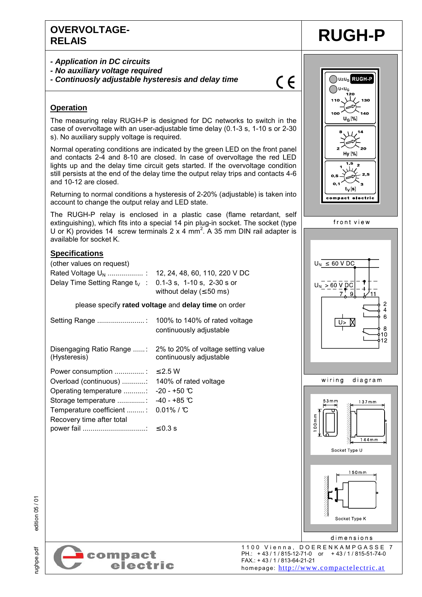### **OVERVOLTAGE-RELAIS RUGH-P**

- **Application in DC circuits**
- **No auxiliary voltage required**
- **Continuosly adjustable hysteresis and delay time**

 $C \in$ 

#### **Operation**

The measuring relay RUGH-P is designed for DC networks to switch in the case of overvoltage with an user-adjustable time delay (0.1-3 s, 1-10 s or 2-30 s). No auxiliary supply voltage is required.

Normal operating conditions are indicated by the green LED on the front panel and contacts 2-4 and 8-10 are closed. In case of overvoltage the red LED lights up and the delay time circuit gets started. If the overvoltage condition still persists at the end of the delay time the output relay trips and contacts 4-6 and 10-12 are closed.

Returning to normal conditions a hysteresis of 2-20% (adjustable) is taken into account to change the output relay and LED state.

The RUGH-P relay is enclosed in a plastic case (flame retardant, self extinguishing), which fits into a special 14 pin plug-in socket. The socket (type U or K) provides 14 screw terminals  $2 \times 4$  mm<sup>2</sup>. A 35 mm DIN rail adapter is available for socket K.

#### **Specifications**

(other values on request) Rated Voltage UN .................. : 12, 24, 48, 60, 110, 220 V DC Delay Time Setting Range  $t_V$  : 0.1-3 s, 1-10 s, 2-30 s or without delay ( $\leq 50$  ms)

#### please specify **rated voltage** and **delay time** on order

| Setting Range                                                                                                                                                                                  | 100% to 140% of rated voltage<br>continuously adjustable                                |
|------------------------------------------------------------------------------------------------------------------------------------------------------------------------------------------------|-----------------------------------------------------------------------------------------|
| (Hysteresis)                                                                                                                                                                                   | Disengaging Ratio Range : 2% to 20% of voltage setting value<br>continuously adjustable |
| Power consumption : $\leq 2.5$ W<br>Operating temperature : -20 - +50 $\mathbb C$<br>Storage temperature : $-40 - +85$ °C<br>Temperature coefficient : 0.01% / °C<br>Recovery time after total |                                                                                         |
|                                                                                                                                                                                                |                                                                                         |





 $150mm$ 

Socket Type K

rughpe.pdf edition 05 / 01 edition 05/01



dimensions 1100 Vienna, DOERENKAMPGASSE 7<br>
PH.: +43/1/815-12-71-0 or +43/1/815-51-74-0<br>
EAN 14211/815-61-21-21 PH.: + 43 / 1 / 815-12-71-0 or + 43 / 1 / 815-51-74-0 FAX.: + 43 / 1 / 813-64-21-21 homepage: http://www.compactelectric.at